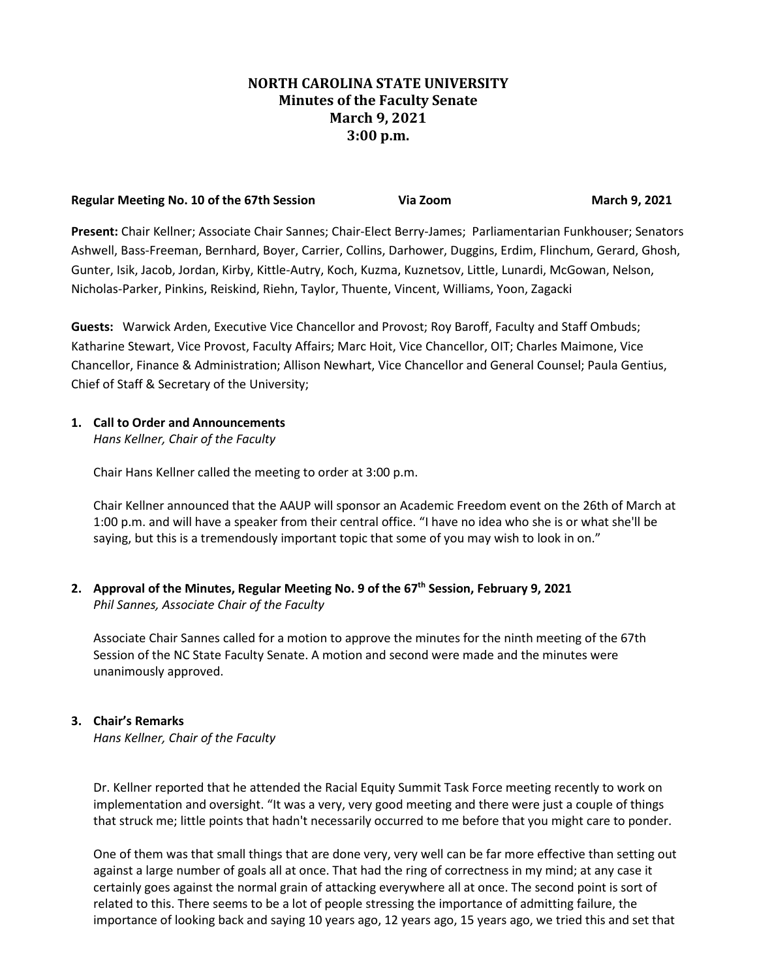# **NORTH CAROLINA STATE UNIVERSITY Minutes of the Faculty Senate March 9, 2021 3:00 p.m.**

| Regular Meeting No. 10 of the 67th Session | Via Zoom | March 9, 2021 |
|--------------------------------------------|----------|---------------|
|                                            |          |               |

**Present:** Chair Kellner; Associate Chair Sannes; Chair-Elect Berry-James; Parliamentarian Funkhouser; Senators Ashwell, Bass-Freeman, Bernhard, Boyer, Carrier, Collins, Darhower, Duggins, Erdim, Flinchum, Gerard, Ghosh, Gunter, Isik, Jacob, Jordan, Kirby, Kittle-Autry, Koch, Kuzma, Kuznetsov, Little, Lunardi, McGowan, Nelson, Nicholas-Parker, Pinkins, Reiskind, Riehn, Taylor, Thuente, Vincent, Williams, Yoon, Zagacki

**Guests:** Warwick Arden, Executive Vice Chancellor and Provost; Roy Baroff, Faculty and Staff Ombuds; Katharine Stewart, Vice Provost, Faculty Affairs; Marc Hoit, Vice Chancellor, OIT; Charles Maimone, Vice Chancellor, Finance & Administration; Allison Newhart, Vice Chancellor and General Counsel; Paula Gentius, Chief of Staff & Secretary of the University;

#### **1. Call to Order and Announcements**

*Hans Kellner, Chair of the Faculty*

Chair Hans Kellner called the meeting to order at 3:00 p.m.

Chair Kellner announced that the AAUP will sponsor an Academic Freedom event on the 26th of March at 1:00 p.m. and will have a speaker from their central office. "I have no idea who she is or what she'll be saying, but this is a tremendously important topic that some of you may wish to look in on."

**2. Approval of the Minutes, Regular Meeting No. 9 of the 67th Session, February 9, 2021** *Phil Sannes, Associate Chair of the Faculty*

Associate Chair Sannes called for a motion to approve the minutes for the ninth meeting of the 67th Session of the NC State Faculty Senate. A motion and second were made and the minutes were unanimously approved.

## **3. Chair's Remarks**

*Hans Kellner, Chair of the Faculty*

Dr. Kellner reported that he attended the Racial Equity Summit Task Force meeting recently to work on implementation and oversight. "It was a very, very good meeting and there were just a couple of things that struck me; little points that hadn't necessarily occurred to me before that you might care to ponder.

One of them was that small things that are done very, very well can be far more effective than setting out against a large number of goals all at once. That had the ring of correctness in my mind; at any case it certainly goes against the normal grain of attacking everywhere all at once. The second point is sort of related to this. There seems to be a lot of people stressing the importance of admitting failure, the importance of looking back and saying 10 years ago, 12 years ago, 15 years ago, we tried this and set that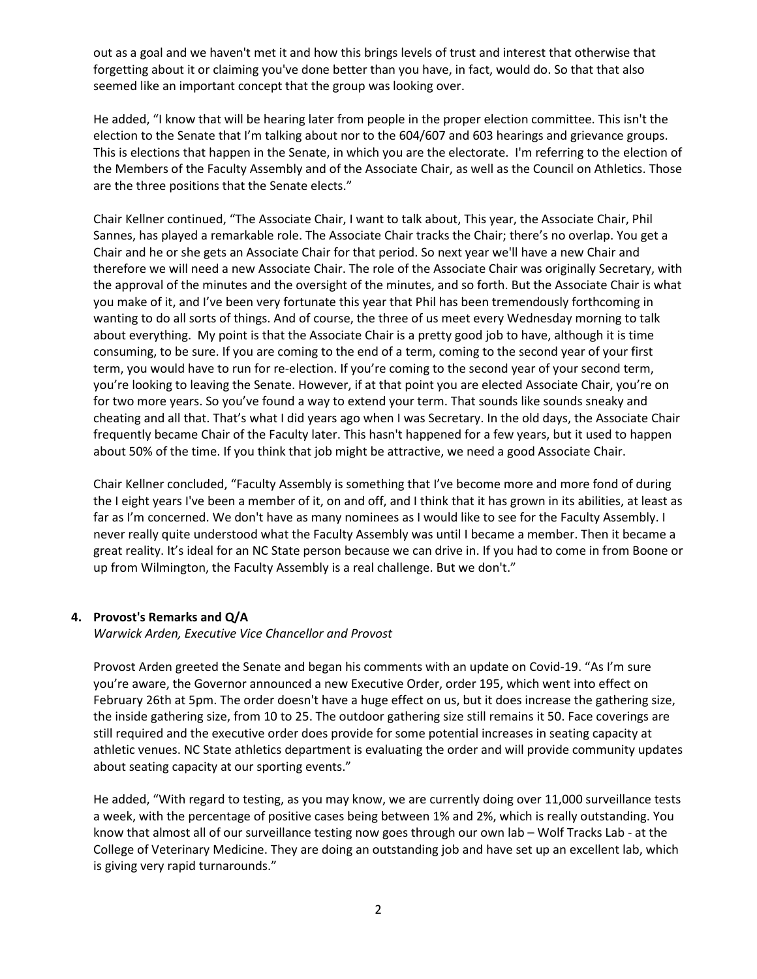out as a goal and we haven't met it and how this brings levels of trust and interest that otherwise that forgetting about it or claiming you've done better than you have, in fact, would do. So that that also seemed like an important concept that the group was looking over.

He added, "I know that will be hearing later from people in the proper election committee. This isn't the election to the Senate that I'm talking about nor to the 604/607 and 603 hearings and grievance groups. This is elections that happen in the Senate, in which you are the electorate. I'm referring to the election of the Members of the Faculty Assembly and of the Associate Chair, as well as the Council on Athletics. Those are the three positions that the Senate elects."

Chair Kellner continued, "The Associate Chair, I want to talk about, This year, the Associate Chair, Phil Sannes, has played a remarkable role. The Associate Chair tracks the Chair; there's no overlap. You get a Chair and he or she gets an Associate Chair for that period. So next year we'll have a new Chair and therefore we will need a new Associate Chair. The role of the Associate Chair was originally Secretary, with the approval of the minutes and the oversight of the minutes, and so forth. But the Associate Chair is what you make of it, and I've been very fortunate this year that Phil has been tremendously forthcoming in wanting to do all sorts of things. And of course, the three of us meet every Wednesday morning to talk about everything. My point is that the Associate Chair is a pretty good job to have, although it is time consuming, to be sure. If you are coming to the end of a term, coming to the second year of your first term, you would have to run for re-election. If you're coming to the second year of your second term, you're looking to leaving the Senate. However, if at that point you are elected Associate Chair, you're on for two more years. So you've found a way to extend your term. That sounds like sounds sneaky and cheating and all that. That's what I did years ago when I was Secretary. In the old days, the Associate Chair frequently became Chair of the Faculty later. This hasn't happened for a few years, but it used to happen about 50% of the time. If you think that job might be attractive, we need a good Associate Chair.

Chair Kellner concluded, "Faculty Assembly is something that I've become more and more fond of during the I eight years I've been a member of it, on and off, and I think that it has grown in its abilities, at least as far as I'm concerned. We don't have as many nominees as I would like to see for the Faculty Assembly. I never really quite understood what the Faculty Assembly was until I became a member. Then it became a great reality. It's ideal for an NC State person because we can drive in. If you had to come in from Boone or up from Wilmington, the Faculty Assembly is a real challenge. But we don't."

## **4. Provost's Remarks and Q/A**

*Warwick Arden, Executive Vice Chancellor and Provost*

Provost Arden greeted the Senate and began his comments with an update on Covid-19. "As I'm sure you're aware, the Governor announced a new Executive Order, order 195, which went into effect on February 26th at 5pm. The order doesn't have a huge effect on us, but it does increase the gathering size, the inside gathering size, from 10 to 25. The outdoor gathering size still remains it 50. Face coverings are still required and the executive order does provide for some potential increases in seating capacity at athletic venues. NC State athletics department is evaluating the order and will provide community updates about seating capacity at our sporting events."

He added, "With regard to testing, as you may know, we are currently doing over 11,000 surveillance tests a week, with the percentage of positive cases being between 1% and 2%, which is really outstanding. You know that almost all of our surveillance testing now goes through our own lab – Wolf Tracks Lab - at the College of Veterinary Medicine. They are doing an outstanding job and have set up an excellent lab, which is giving very rapid turnarounds."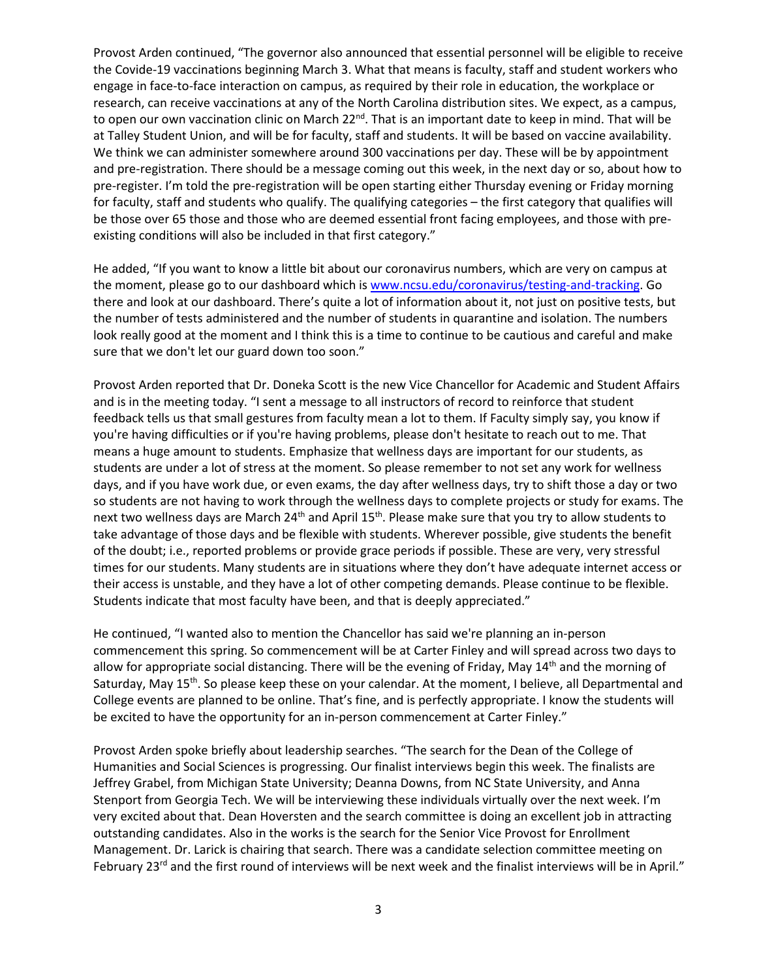Provost Arden continued, "The governor also announced that essential personnel will be eligible to receive the Covide-19 vaccinations beginning March 3. What that means is faculty, staff and student workers who engage in face-to-face interaction on campus, as required by their role in education, the workplace or research, can receive vaccinations at any of the North Carolina distribution sites. We expect, as a campus, to open our own vaccination clinic on March  $22^{nd}$ . That is an important date to keep in mind. That will be at Talley Student Union, and will be for faculty, staff and students. It will be based on vaccine availability. We think we can administer somewhere around 300 vaccinations per day. These will be by appointment and pre-registration. There should be a message coming out this week, in the next day or so, about how to pre-register. I'm told the pre-registration will be open starting either Thursday evening or Friday morning for faculty, staff and students who qualify. The qualifying categories – the first category that qualifies will be those over 65 those and those who are deemed essential front facing employees, and those with preexisting conditions will also be included in that first category."

He added, "If you want to know a little bit about our coronavirus numbers, which are very on campus at the moment, please go to our dashboard which i[s www.ncsu.edu/coronavirus/testing-and-tracking.](http://www.ncsu.edu/coronavirus/testing-and-tracking) Go there and look at our dashboard. There's quite a lot of information about it, not just on positive tests, but the number of tests administered and the number of students in quarantine and isolation. The numbers look really good at the moment and I think this is a time to continue to be cautious and careful and make sure that we don't let our guard down too soon."

Provost Arden reported that Dr. Doneka Scott is the new Vice Chancellor for Academic and Student Affairs and is in the meeting today. "I sent a message to all instructors of record to reinforce that student feedback tells us that small gestures from faculty mean a lot to them. If Faculty simply say, you know if you're having difficulties or if you're having problems, please don't hesitate to reach out to me. That means a huge amount to students. Emphasize that wellness days are important for our students, as students are under a lot of stress at the moment. So please remember to not set any work for wellness days, and if you have work due, or even exams, the day after wellness days, try to shift those a day or two so students are not having to work through the wellness days to complete projects or study for exams. The next two wellness days are March 24<sup>th</sup> and April 15<sup>th</sup>. Please make sure that you try to allow students to take advantage of those days and be flexible with students. Wherever possible, give students the benefit of the doubt; i.e., reported problems or provide grace periods if possible. These are very, very stressful times for our students. Many students are in situations where they don't have adequate internet access or their access is unstable, and they have a lot of other competing demands. Please continue to be flexible. Students indicate that most faculty have been, and that is deeply appreciated."

He continued, "I wanted also to mention the Chancellor has said we're planning an in-person commencement this spring. So commencement will be at Carter Finley and will spread across two days to allow for appropriate social distancing. There will be the evening of Friday, May  $14<sup>th</sup>$  and the morning of Saturday, May 15<sup>th</sup>. So please keep these on your calendar. At the moment, I believe, all Departmental and College events are planned to be online. That's fine, and is perfectly appropriate. I know the students will be excited to have the opportunity for an in-person commencement at Carter Finley."

Provost Arden spoke briefly about leadership searches. "The search for the Dean of the College of Humanities and Social Sciences is progressing. Our finalist interviews begin this week. The finalists are Jeffrey Grabel, from Michigan State University; Deanna Downs, from NC State University, and Anna Stenport from Georgia Tech. We will be interviewing these individuals virtually over the next week. I'm very excited about that. Dean Hoversten and the search committee is doing an excellent job in attracting outstanding candidates. Also in the works is the search for the Senior Vice Provost for Enrollment Management. Dr. Larick is chairing that search. There was a candidate selection committee meeting on February 23<sup>rd</sup> and the first round of interviews will be next week and the finalist interviews will be in April."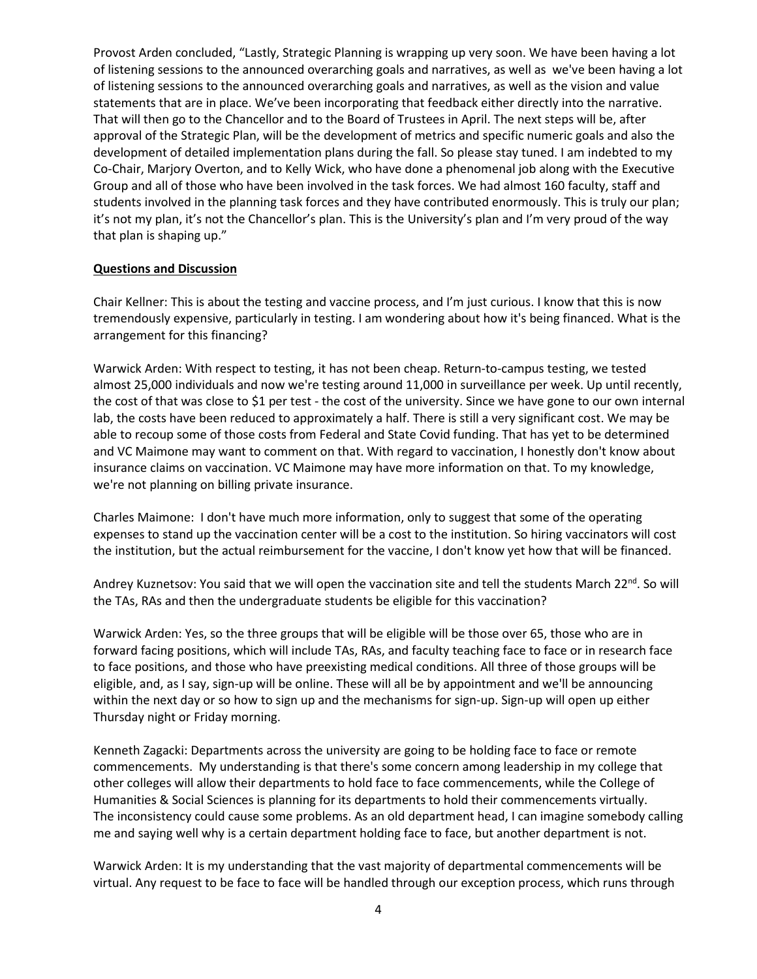Provost Arden concluded, "Lastly, Strategic Planning is wrapping up very soon. We have been having a lot of listening sessions to the announced overarching goals and narratives, as well as we've been having a lot of listening sessions to the announced overarching goals and narratives, as well as the vision and value statements that are in place. We've been incorporating that feedback either directly into the narrative. That will then go to the Chancellor and to the Board of Trustees in April. The next steps will be, after approval of the Strategic Plan, will be the development of metrics and specific numeric goals and also the development of detailed implementation plans during the fall. So please stay tuned. I am indebted to my Co-Chair, Marjory Overton, and to Kelly Wick, who have done a phenomenal job along with the Executive Group and all of those who have been involved in the task forces. We had almost 160 faculty, staff and students involved in the planning task forces and they have contributed enormously. This is truly our plan; it's not my plan, it's not the Chancellor's plan. This is the University's plan and I'm very proud of the way that plan is shaping up."

#### **Questions and Discussion**

Chair Kellner: This is about the testing and vaccine process, and I'm just curious. I know that this is now tremendously expensive, particularly in testing. I am wondering about how it's being financed. What is the arrangement for this financing?

Warwick Arden: With respect to testing, it has not been cheap. Return-to-campus testing, we tested almost 25,000 individuals and now we're testing around 11,000 in surveillance per week. Up until recently, the cost of that was close to \$1 per test - the cost of the university. Since we have gone to our own internal lab, the costs have been reduced to approximately a half. There is still a very significant cost. We may be able to recoup some of those costs from Federal and State Covid funding. That has yet to be determined and VC Maimone may want to comment on that. With regard to vaccination, I honestly don't know about insurance claims on vaccination. VC Maimone may have more information on that. To my knowledge, we're not planning on billing private insurance.

Charles Maimone: I don't have much more information, only to suggest that some of the operating expenses to stand up the vaccination center will be a cost to the institution. So hiring vaccinators will cost the institution, but the actual reimbursement for the vaccine, I don't know yet how that will be financed.

Andrey Kuznetsov: You said that we will open the vaccination site and tell the students March 22<sup>nd</sup>. So will the TAs, RAs and then the undergraduate students be eligible for this vaccination?

Warwick Arden: Yes, so the three groups that will be eligible will be those over 65, those who are in forward facing positions, which will include TAs, RAs, and faculty teaching face to face or in research face to face positions, and those who have preexisting medical conditions. All three of those groups will be eligible, and, as I say, sign-up will be online. These will all be by appointment and we'll be announcing within the next day or so how to sign up and the mechanisms for sign-up. Sign-up will open up either Thursday night or Friday morning.

Kenneth Zagacki: Departments across the university are going to be holding face to face or remote commencements. My understanding is that there's some concern among leadership in my college that other colleges will allow their departments to hold face to face commencements, while the College of Humanities & Social Sciences is planning for its departments to hold their commencements virtually. The inconsistency could cause some problems. As an old department head, I can imagine somebody calling me and saying well why is a certain department holding face to face, but another department is not.

Warwick Arden: It is my understanding that the vast majority of departmental commencements will be virtual. Any request to be face to face will be handled through our exception process, which runs through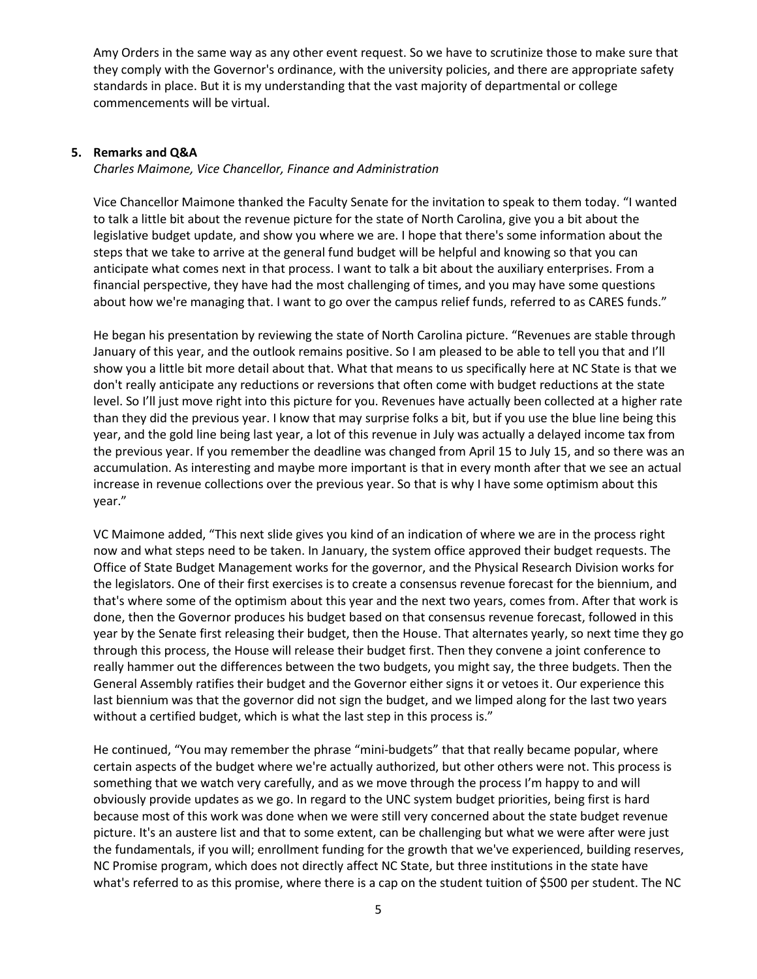Amy Orders in the same way as any other event request. So we have to scrutinize those to make sure that they comply with the Governor's ordinance, with the university policies, and there are appropriate safety standards in place. But it is my understanding that the vast majority of departmental or college commencements will be virtual.

## **5. Remarks and Q&A**

*Charles Maimone, Vice Chancellor, Finance and Administration*

Vice Chancellor Maimone thanked the Faculty Senate for the invitation to speak to them today. "I wanted to talk a little bit about the revenue picture for the state of North Carolina, give you a bit about the legislative budget update, and show you where we are. I hope that there's some information about the steps that we take to arrive at the general fund budget will be helpful and knowing so that you can anticipate what comes next in that process. I want to talk a bit about the auxiliary enterprises. From a financial perspective, they have had the most challenging of times, and you may have some questions about how we're managing that. I want to go over the campus relief funds, referred to as CARES funds."

He began his presentation by reviewing the state of North Carolina picture. "Revenues are stable through January of this year, and the outlook remains positive. So I am pleased to be able to tell you that and I'll show you a little bit more detail about that. What that means to us specifically here at NC State is that we don't really anticipate any reductions or reversions that often come with budget reductions at the state level. So I'll just move right into this picture for you. Revenues have actually been collected at a higher rate than they did the previous year. I know that may surprise folks a bit, but if you use the blue line being this year, and the gold line being last year, a lot of this revenue in July was actually a delayed income tax from the previous year. If you remember the deadline was changed from April 15 to July 15, and so there was an accumulation. As interesting and maybe more important is that in every month after that we see an actual increase in revenue collections over the previous year. So that is why I have some optimism about this year."

VC Maimone added, "This next slide gives you kind of an indication of where we are in the process right now and what steps need to be taken. In January, the system office approved their budget requests. The Office of State Budget Management works for the governor, and the Physical Research Division works for the legislators. One of their first exercises is to create a consensus revenue forecast for the biennium, and that's where some of the optimism about this year and the next two years, comes from. After that work is done, then the Governor produces his budget based on that consensus revenue forecast, followed in this year by the Senate first releasing their budget, then the House. That alternates yearly, so next time they go through this process, the House will release their budget first. Then they convene a joint conference to really hammer out the differences between the two budgets, you might say, the three budgets. Then the General Assembly ratifies their budget and the Governor either signs it or vetoes it. Our experience this last biennium was that the governor did not sign the budget, and we limped along for the last two years without a certified budget, which is what the last step in this process is."

He continued, "You may remember the phrase "mini-budgets" that that really became popular, where certain aspects of the budget where we're actually authorized, but other others were not. This process is something that we watch very carefully, and as we move through the process I'm happy to and will obviously provide updates as we go. In regard to the UNC system budget priorities, being first is hard because most of this work was done when we were still very concerned about the state budget revenue picture. It's an austere list and that to some extent, can be challenging but what we were after were just the fundamentals, if you will; enrollment funding for the growth that we've experienced, building reserves, NC Promise program, which does not directly affect NC State, but three institutions in the state have what's referred to as this promise, where there is a cap on the student tuition of \$500 per student. The NC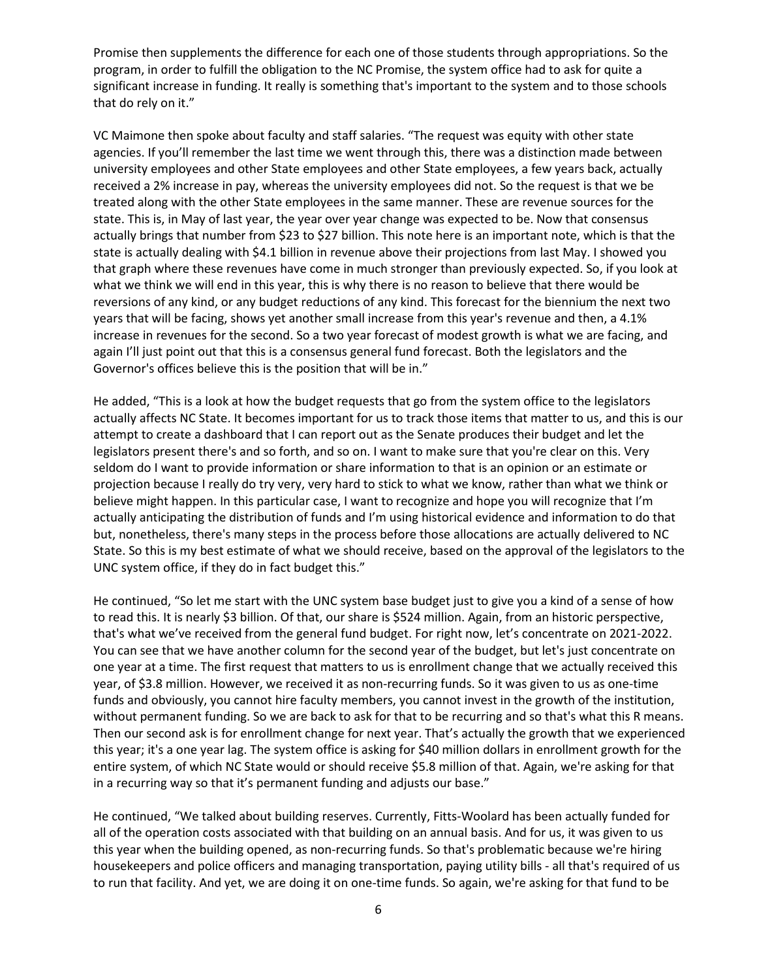Promise then supplements the difference for each one of those students through appropriations. So the program, in order to fulfill the obligation to the NC Promise, the system office had to ask for quite a significant increase in funding. It really is something that's important to the system and to those schools that do rely on it."

VC Maimone then spoke about faculty and staff salaries. "The request was equity with other state agencies. If you'll remember the last time we went through this, there was a distinction made between university employees and other State employees and other State employees, a few years back, actually received a 2% increase in pay, whereas the university employees did not. So the request is that we be treated along with the other State employees in the same manner. These are revenue sources for the state. This is, in May of last year, the year over year change was expected to be. Now that consensus actually brings that number from \$23 to \$27 billion. This note here is an important note, which is that the state is actually dealing with \$4.1 billion in revenue above their projections from last May. I showed you that graph where these revenues have come in much stronger than previously expected. So, if you look at what we think we will end in this year, this is why there is no reason to believe that there would be reversions of any kind, or any budget reductions of any kind. This forecast for the biennium the next two years that will be facing, shows yet another small increase from this year's revenue and then, a 4.1% increase in revenues for the second. So a two year forecast of modest growth is what we are facing, and again I'll just point out that this is a consensus general fund forecast. Both the legislators and the Governor's offices believe this is the position that will be in."

He added, "This is a look at how the budget requests that go from the system office to the legislators actually affects NC State. It becomes important for us to track those items that matter to us, and this is our attempt to create a dashboard that I can report out as the Senate produces their budget and let the legislators present there's and so forth, and so on. I want to make sure that you're clear on this. Very seldom do I want to provide information or share information to that is an opinion or an estimate or projection because I really do try very, very hard to stick to what we know, rather than what we think or believe might happen. In this particular case, I want to recognize and hope you will recognize that I'm actually anticipating the distribution of funds and I'm using historical evidence and information to do that but, nonetheless, there's many steps in the process before those allocations are actually delivered to NC State. So this is my best estimate of what we should receive, based on the approval of the legislators to the UNC system office, if they do in fact budget this."

He continued, "So let me start with the UNC system base budget just to give you a kind of a sense of how to read this. It is nearly \$3 billion. Of that, our share is \$524 million. Again, from an historic perspective, that's what we've received from the general fund budget. For right now, let's concentrate on 2021-2022. You can see that we have another column for the second year of the budget, but let's just concentrate on one year at a time. The first request that matters to us is enrollment change that we actually received this year, of \$3.8 million. However, we received it as non-recurring funds. So it was given to us as one-time funds and obviously, you cannot hire faculty members, you cannot invest in the growth of the institution, without permanent funding. So we are back to ask for that to be recurring and so that's what this R means. Then our second ask is for enrollment change for next year. That's actually the growth that we experienced this year; it's a one year lag. The system office is asking for \$40 million dollars in enrollment growth for the entire system, of which NC State would or should receive \$5.8 million of that. Again, we're asking for that in a recurring way so that it's permanent funding and adjusts our base."

He continued, "We talked about building reserves. Currently, Fitts-Woolard has been actually funded for all of the operation costs associated with that building on an annual basis. And for us, it was given to us this year when the building opened, as non-recurring funds. So that's problematic because we're hiring housekeepers and police officers and managing transportation, paying utility bills - all that's required of us to run that facility. And yet, we are doing it on one-time funds. So again, we're asking for that fund to be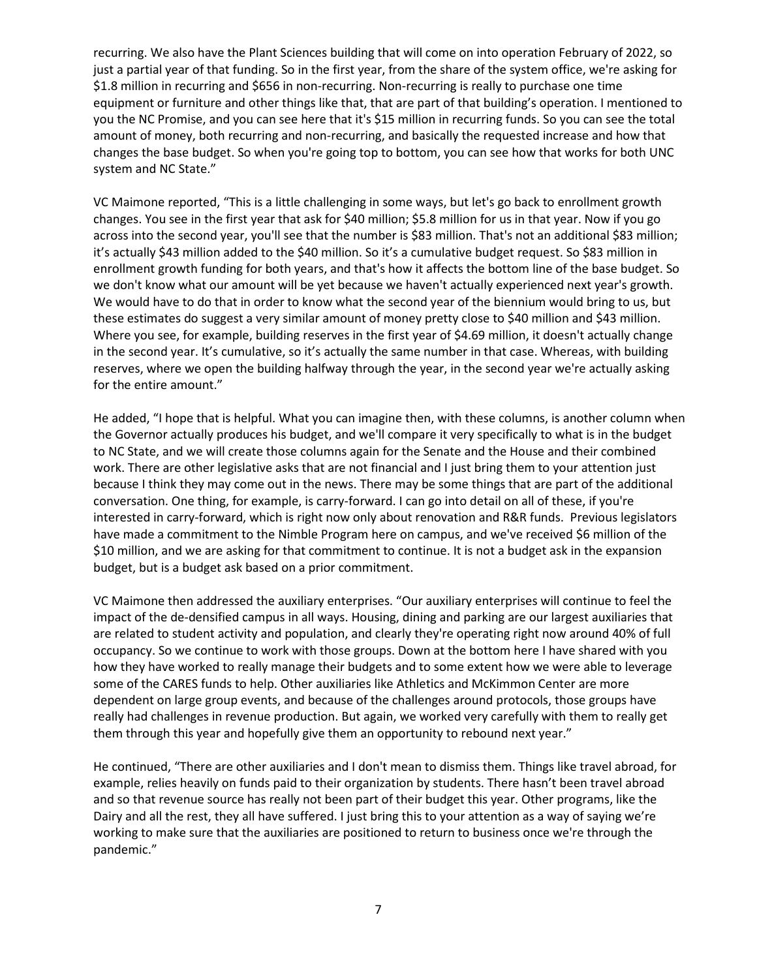recurring. We also have the Plant Sciences building that will come on into operation February of 2022, so just a partial year of that funding. So in the first year, from the share of the system office, we're asking for \$1.8 million in recurring and \$656 in non-recurring. Non-recurring is really to purchase one time equipment or furniture and other things like that, that are part of that building's operation. I mentioned to you the NC Promise, and you can see here that it's \$15 million in recurring funds. So you can see the total amount of money, both recurring and non-recurring, and basically the requested increase and how that changes the base budget. So when you're going top to bottom, you can see how that works for both UNC system and NC State."

VC Maimone reported, "This is a little challenging in some ways, but let's go back to enrollment growth changes. You see in the first year that ask for \$40 million; \$5.8 million for us in that year. Now if you go across into the second year, you'll see that the number is \$83 million. That's not an additional \$83 million; it's actually \$43 million added to the \$40 million. So it's a cumulative budget request. So \$83 million in enrollment growth funding for both years, and that's how it affects the bottom line of the base budget. So we don't know what our amount will be yet because we haven't actually experienced next year's growth. We would have to do that in order to know what the second year of the biennium would bring to us, but these estimates do suggest a very similar amount of money pretty close to \$40 million and \$43 million. Where you see, for example, building reserves in the first year of \$4.69 million, it doesn't actually change in the second year. It's cumulative, so it's actually the same number in that case. Whereas, with building reserves, where we open the building halfway through the year, in the second year we're actually asking for the entire amount."

He added, "I hope that is helpful. What you can imagine then, with these columns, is another column when the Governor actually produces his budget, and we'll compare it very specifically to what is in the budget to NC State, and we will create those columns again for the Senate and the House and their combined work. There are other legislative asks that are not financial and I just bring them to your attention just because I think they may come out in the news. There may be some things that are part of the additional conversation. One thing, for example, is carry-forward. I can go into detail on all of these, if you're interested in carry-forward, which is right now only about renovation and R&R funds. Previous legislators have made a commitment to the Nimble Program here on campus, and we've received \$6 million of the \$10 million, and we are asking for that commitment to continue. It is not a budget ask in the expansion budget, but is a budget ask based on a prior commitment.

VC Maimone then addressed the auxiliary enterprises. "Our auxiliary enterprises will continue to feel the impact of the de-densified campus in all ways. Housing, dining and parking are our largest auxiliaries that are related to student activity and population, and clearly they're operating right now around 40% of full occupancy. So we continue to work with those groups. Down at the bottom here I have shared with you how they have worked to really manage their budgets and to some extent how we were able to leverage some of the CARES funds to help. Other auxiliaries like Athletics and McKimmon Center are more dependent on large group events, and because of the challenges around protocols, those groups have really had challenges in revenue production. But again, we worked very carefully with them to really get them through this year and hopefully give them an opportunity to rebound next year."

He continued, "There are other auxiliaries and I don't mean to dismiss them. Things like travel abroad, for example, relies heavily on funds paid to their organization by students. There hasn't been travel abroad and so that revenue source has really not been part of their budget this year. Other programs, like the Dairy and all the rest, they all have suffered. I just bring this to your attention as a way of saying we're working to make sure that the auxiliaries are positioned to return to business once we're through the pandemic."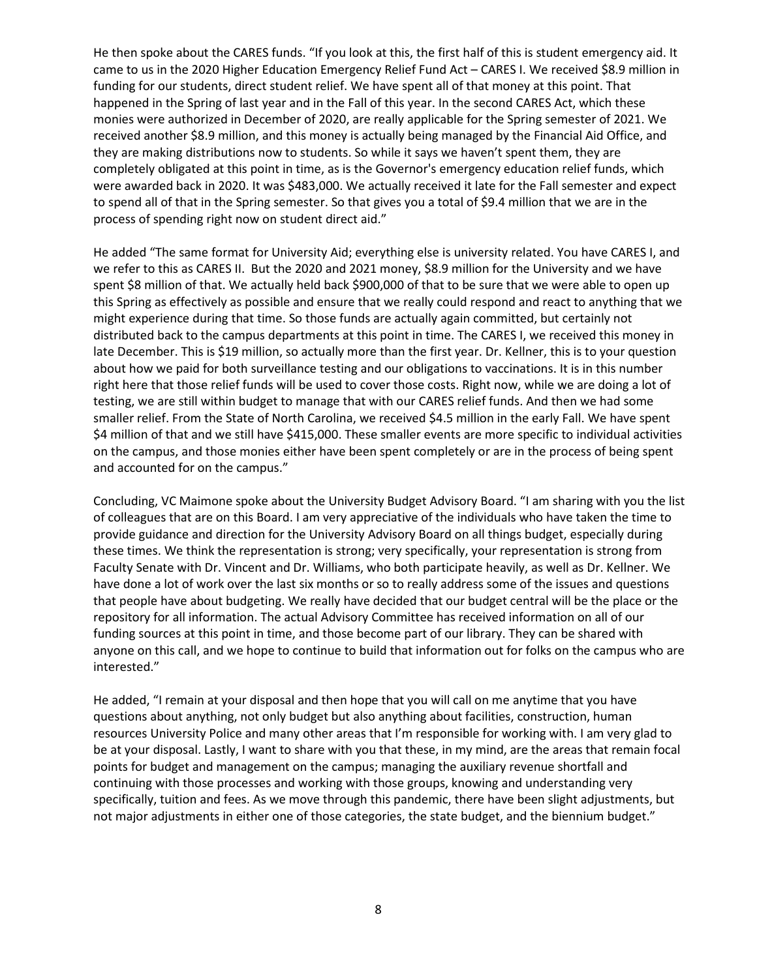He then spoke about the CARES funds. "If you look at this, the first half of this is student emergency aid. It came to us in the 2020 Higher Education Emergency Relief Fund Act – CARES I. We received \$8.9 million in funding for our students, direct student relief. We have spent all of that money at this point. That happened in the Spring of last year and in the Fall of this year. In the second CARES Act, which these monies were authorized in December of 2020, are really applicable for the Spring semester of 2021. We received another \$8.9 million, and this money is actually being managed by the Financial Aid Office, and they are making distributions now to students. So while it says we haven't spent them, they are completely obligated at this point in time, as is the Governor's emergency education relief funds, which were awarded back in 2020. It was \$483,000. We actually received it late for the Fall semester and expect to spend all of that in the Spring semester. So that gives you a total of \$9.4 million that we are in the process of spending right now on student direct aid."

He added "The same format for University Aid; everything else is university related. You have CARES I, and we refer to this as CARES II. But the 2020 and 2021 money, \$8.9 million for the University and we have spent \$8 million of that. We actually held back \$900,000 of that to be sure that we were able to open up this Spring as effectively as possible and ensure that we really could respond and react to anything that we might experience during that time. So those funds are actually again committed, but certainly not distributed back to the campus departments at this point in time. The CARES I, we received this money in late December. This is \$19 million, so actually more than the first year. Dr. Kellner, this is to your question about how we paid for both surveillance testing and our obligations to vaccinations. It is in this number right here that those relief funds will be used to cover those costs. Right now, while we are doing a lot of testing, we are still within budget to manage that with our CARES relief funds. And then we had some smaller relief. From the State of North Carolina, we received \$4.5 million in the early Fall. We have spent \$4 million of that and we still have \$415,000. These smaller events are more specific to individual activities on the campus, and those monies either have been spent completely or are in the process of being spent and accounted for on the campus."

Concluding, VC Maimone spoke about the University Budget Advisory Board. "I am sharing with you the list of colleagues that are on this Board. I am very appreciative of the individuals who have taken the time to provide guidance and direction for the University Advisory Board on all things budget, especially during these times. We think the representation is strong; very specifically, your representation is strong from Faculty Senate with Dr. Vincent and Dr. Williams, who both participate heavily, as well as Dr. Kellner. We have done a lot of work over the last six months or so to really address some of the issues and questions that people have about budgeting. We really have decided that our budget central will be the place or the repository for all information. The actual Advisory Committee has received information on all of our funding sources at this point in time, and those become part of our library. They can be shared with anyone on this call, and we hope to continue to build that information out for folks on the campus who are interested."

He added, "I remain at your disposal and then hope that you will call on me anytime that you have questions about anything, not only budget but also anything about facilities, construction, human resources University Police and many other areas that I'm responsible for working with. I am very glad to be at your disposal. Lastly, I want to share with you that these, in my mind, are the areas that remain focal points for budget and management on the campus; managing the auxiliary revenue shortfall and continuing with those processes and working with those groups, knowing and understanding very specifically, tuition and fees. As we move through this pandemic, there have been slight adjustments, but not major adjustments in either one of those categories, the state budget, and the biennium budget."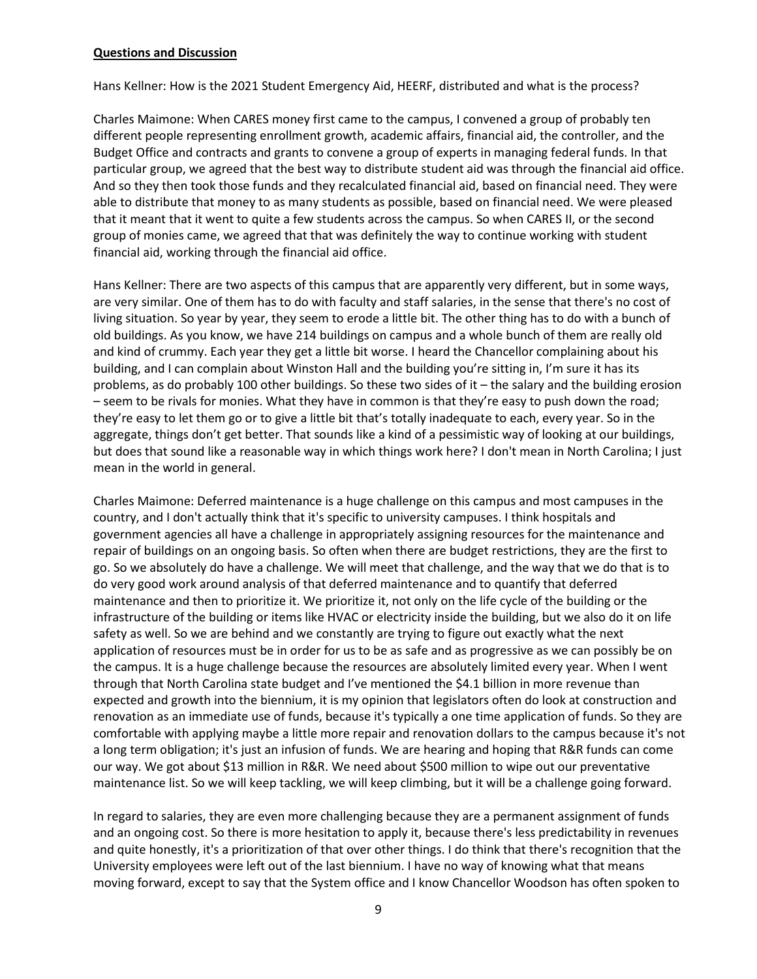#### **Questions and Discussion**

Hans Kellner: How is the 2021 Student Emergency Aid, HEERF, distributed and what is the process?

Charles Maimone: When CARES money first came to the campus, I convened a group of probably ten different people representing enrollment growth, academic affairs, financial aid, the controller, and the Budget Office and contracts and grants to convene a group of experts in managing federal funds. In that particular group, we agreed that the best way to distribute student aid was through the financial aid office. And so they then took those funds and they recalculated financial aid, based on financial need. They were able to distribute that money to as many students as possible, based on financial need. We were pleased that it meant that it went to quite a few students across the campus. So when CARES II, or the second group of monies came, we agreed that that was definitely the way to continue working with student financial aid, working through the financial aid office.

Hans Kellner: There are two aspects of this campus that are apparently very different, but in some ways, are very similar. One of them has to do with faculty and staff salaries, in the sense that there's no cost of living situation. So year by year, they seem to erode a little bit. The other thing has to do with a bunch of old buildings. As you know, we have 214 buildings on campus and a whole bunch of them are really old and kind of crummy. Each year they get a little bit worse. I heard the Chancellor complaining about his building, and I can complain about Winston Hall and the building you're sitting in, I'm sure it has its problems, as do probably 100 other buildings. So these two sides of it – the salary and the building erosion – seem to be rivals for monies. What they have in common is that they're easy to push down the road; they're easy to let them go or to give a little bit that's totally inadequate to each, every year. So in the aggregate, things don't get better. That sounds like a kind of a pessimistic way of looking at our buildings, but does that sound like a reasonable way in which things work here? I don't mean in North Carolina; I just mean in the world in general.

Charles Maimone: Deferred maintenance is a huge challenge on this campus and most campuses in the country, and I don't actually think that it's specific to university campuses. I think hospitals and government agencies all have a challenge in appropriately assigning resources for the maintenance and repair of buildings on an ongoing basis. So often when there are budget restrictions, they are the first to go. So we absolutely do have a challenge. We will meet that challenge, and the way that we do that is to do very good work around analysis of that deferred maintenance and to quantify that deferred maintenance and then to prioritize it. We prioritize it, not only on the life cycle of the building or the infrastructure of the building or items like HVAC or electricity inside the building, but we also do it on life safety as well. So we are behind and we constantly are trying to figure out exactly what the next application of resources must be in order for us to be as safe and as progressive as we can possibly be on the campus. It is a huge challenge because the resources are absolutely limited every year. When I went through that North Carolina state budget and I've mentioned the \$4.1 billion in more revenue than expected and growth into the biennium, it is my opinion that legislators often do look at construction and renovation as an immediate use of funds, because it's typically a one time application of funds. So they are comfortable with applying maybe a little more repair and renovation dollars to the campus because it's not a long term obligation; it's just an infusion of funds. We are hearing and hoping that R&R funds can come our way. We got about \$13 million in R&R. We need about \$500 million to wipe out our preventative maintenance list. So we will keep tackling, we will keep climbing, but it will be a challenge going forward.

In regard to salaries, they are even more challenging because they are a permanent assignment of funds and an ongoing cost. So there is more hesitation to apply it, because there's less predictability in revenues and quite honestly, it's a prioritization of that over other things. I do think that there's recognition that the University employees were left out of the last biennium. I have no way of knowing what that means moving forward, except to say that the System office and I know Chancellor Woodson has often spoken to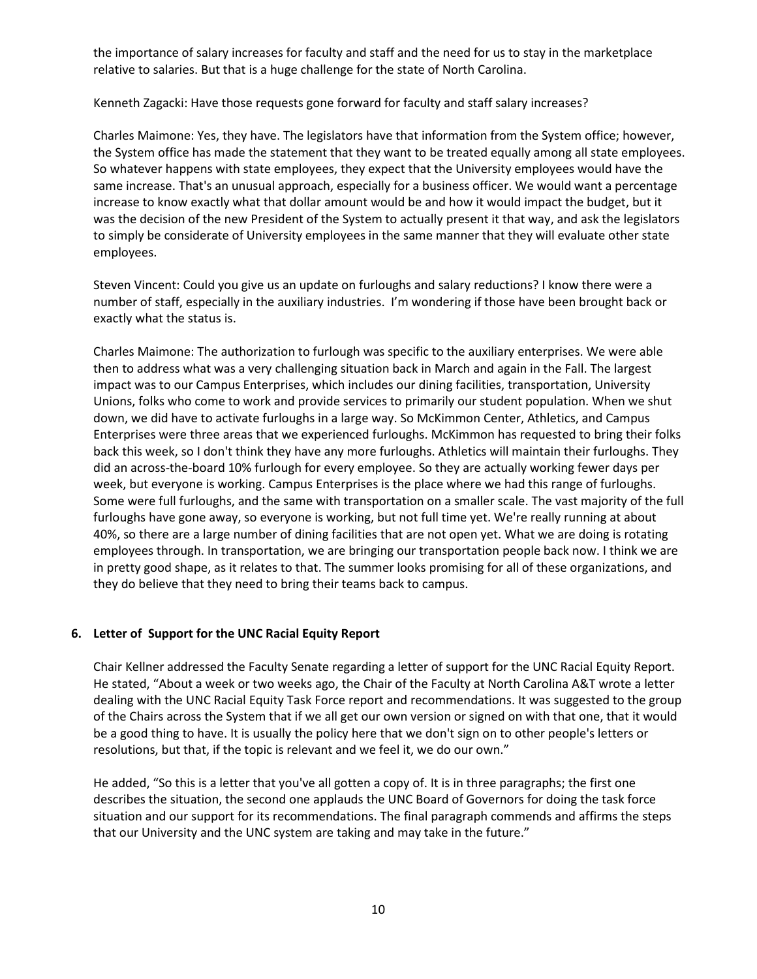the importance of salary increases for faculty and staff and the need for us to stay in the marketplace relative to salaries. But that is a huge challenge for the state of North Carolina.

## Kenneth Zagacki: Have those requests gone forward for faculty and staff salary increases?

Charles Maimone: Yes, they have. The legislators have that information from the System office; however, the System office has made the statement that they want to be treated equally among all state employees. So whatever happens with state employees, they expect that the University employees would have the same increase. That's an unusual approach, especially for a business officer. We would want a percentage increase to know exactly what that dollar amount would be and how it would impact the budget, but it was the decision of the new President of the System to actually present it that way, and ask the legislators to simply be considerate of University employees in the same manner that they will evaluate other state employees.

Steven Vincent: Could you give us an update on furloughs and salary reductions? I know there were a number of staff, especially in the auxiliary industries. I'm wondering if those have been brought back or exactly what the status is.

Charles Maimone: The authorization to furlough was specific to the auxiliary enterprises. We were able then to address what was a very challenging situation back in March and again in the Fall. The largest impact was to our Campus Enterprises, which includes our dining facilities, transportation, University Unions, folks who come to work and provide services to primarily our student population. When we shut down, we did have to activate furloughs in a large way. So McKimmon Center, Athletics, and Campus Enterprises were three areas that we experienced furloughs. McKimmon has requested to bring their folks back this week, so I don't think they have any more furloughs. Athletics will maintain their furloughs. They did an across-the-board 10% furlough for every employee. So they are actually working fewer days per week, but everyone is working. Campus Enterprises is the place where we had this range of furloughs. Some were full furloughs, and the same with transportation on a smaller scale. The vast majority of the full furloughs have gone away, so everyone is working, but not full time yet. We're really running at about 40%, so there are a large number of dining facilities that are not open yet. What we are doing is rotating employees through. In transportation, we are bringing our transportation people back now. I think we are in pretty good shape, as it relates to that. The summer looks promising for all of these organizations, and they do believe that they need to bring their teams back to campus.

## **6. Letter of Support for the UNC Racial Equity Report**

Chair Kellner addressed the Faculty Senate regarding a letter of support for the UNC Racial Equity Report. He stated, "About a week or two weeks ago, the Chair of the Faculty at North Carolina A&T wrote a letter dealing with the UNC Racial Equity Task Force report and recommendations. It was suggested to the group of the Chairs across the System that if we all get our own version or signed on with that one, that it would be a good thing to have. It is usually the policy here that we don't sign on to other people's letters or resolutions, but that, if the topic is relevant and we feel it, we do our own."

He added, "So this is a letter that you've all gotten a copy of. It is in three paragraphs; the first one describes the situation, the second one applauds the UNC Board of Governors for doing the task force situation and our support for its recommendations. The final paragraph commends and affirms the steps that our University and the UNC system are taking and may take in the future."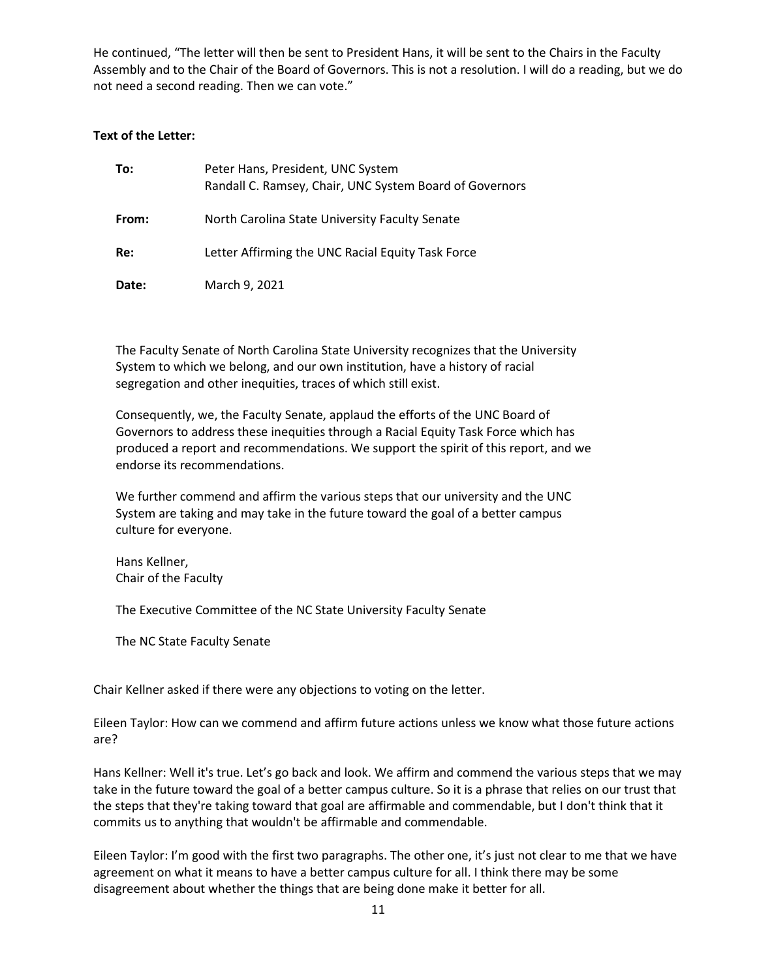He continued, "The letter will then be sent to President Hans, it will be sent to the Chairs in the Faculty Assembly and to the Chair of the Board of Governors. This is not a resolution. I will do a reading, but we do not need a second reading. Then we can vote."

#### **Text of the Letter:**

| To:   | Peter Hans, President, UNC System<br>Randall C. Ramsey, Chair, UNC System Board of Governors |
|-------|----------------------------------------------------------------------------------------------|
| From: | North Carolina State University Faculty Senate                                               |
| Re:   | Letter Affirming the UNC Racial Equity Task Force                                            |
| Date: | March 9, 2021                                                                                |

The Faculty Senate of North Carolina State University recognizes that the University System to which we belong, and our own institution, have a history of racial segregation and other inequities, traces of which still exist.

Consequently, we, the Faculty Senate, applaud the efforts of the UNC Board of Governors to address these inequities through a Racial Equity Task Force which has produced a report and recommendations. We support the spirit of this report, and we endorse its recommendations.

We further commend and affirm the various steps that our university and the UNC System are taking and may take in the future toward the goal of a better campus culture for everyone.

Hans Kellner, Chair of the Faculty

The Executive Committee of the NC State University Faculty Senate

The NC State Faculty Senate

Chair Kellner asked if there were any objections to voting on the letter.

Eileen Taylor: How can we commend and affirm future actions unless we know what those future actions are?

Hans Kellner: Well it's true. Let's go back and look. We affirm and commend the various steps that we may take in the future toward the goal of a better campus culture. So it is a phrase that relies on our trust that the steps that they're taking toward that goal are affirmable and commendable, but I don't think that it commits us to anything that wouldn't be affirmable and commendable.

Eileen Taylor: I'm good with the first two paragraphs. The other one, it's just not clear to me that we have agreement on what it means to have a better campus culture for all. I think there may be some disagreement about whether the things that are being done make it better for all.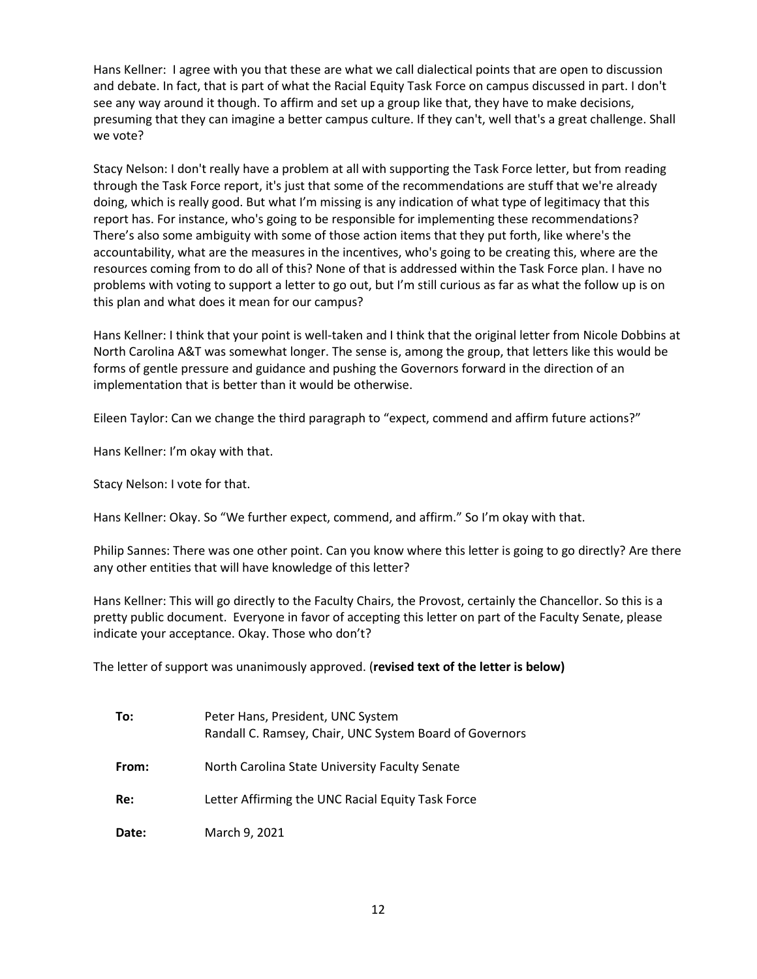Hans Kellner: I agree with you that these are what we call dialectical points that are open to discussion and debate. In fact, that is part of what the Racial Equity Task Force on campus discussed in part. I don't see any way around it though. To affirm and set up a group like that, they have to make decisions, presuming that they can imagine a better campus culture. If they can't, well that's a great challenge. Shall we vote?

Stacy Nelson: I don't really have a problem at all with supporting the Task Force letter, but from reading through the Task Force report, it's just that some of the recommendations are stuff that we're already doing, which is really good. But what I'm missing is any indication of what type of legitimacy that this report has. For instance, who's going to be responsible for implementing these recommendations? There's also some ambiguity with some of those action items that they put forth, like where's the accountability, what are the measures in the incentives, who's going to be creating this, where are the resources coming from to do all of this? None of that is addressed within the Task Force plan. I have no problems with voting to support a letter to go out, but I'm still curious as far as what the follow up is on this plan and what does it mean for our campus?

Hans Kellner: I think that your point is well-taken and I think that the original letter from Nicole Dobbins at North Carolina A&T was somewhat longer. The sense is, among the group, that letters like this would be forms of gentle pressure and guidance and pushing the Governors forward in the direction of an implementation that is better than it would be otherwise.

Eileen Taylor: Can we change the third paragraph to "expect, commend and affirm future actions?"

Hans Kellner: I'm okay with that.

Stacy Nelson: I vote for that.

Hans Kellner: Okay. So "We further expect, commend, and affirm." So I'm okay with that.

Philip Sannes: There was one other point. Can you know where this letter is going to go directly? Are there any other entities that will have knowledge of this letter?

Hans Kellner: This will go directly to the Faculty Chairs, the Provost, certainly the Chancellor. So this is a pretty public document. Everyone in favor of accepting this letter on part of the Faculty Senate, please indicate your acceptance. Okay. Those who don't?

The letter of support was unanimously approved. (**revised text of the letter is below)**

| To:   | Peter Hans, President, UNC System<br>Randall C. Ramsey, Chair, UNC System Board of Governors |
|-------|----------------------------------------------------------------------------------------------|
| From: | North Carolina State University Faculty Senate                                               |
| Re:   | Letter Affirming the UNC Racial Equity Task Force                                            |
| Date: | March 9, 2021                                                                                |